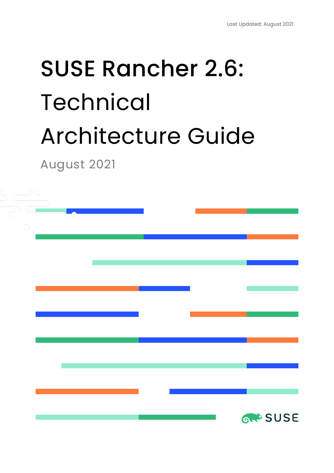# SUSE Rancher 2.6: Technical Architecture Guide

August 2021

| $\bigcirc$ |  |  |  |  |                |  |
|------------|--|--|--|--|----------------|--|
|            |  |  |  |  |                |  |
|            |  |  |  |  |                |  |
|            |  |  |  |  |                |  |
|            |  |  |  |  |                |  |
|            |  |  |  |  |                |  |
|            |  |  |  |  |                |  |
|            |  |  |  |  |                |  |
|            |  |  |  |  |                |  |
|            |  |  |  |  |                |  |
|            |  |  |  |  |                |  |
|            |  |  |  |  | <b>GROSUSE</b> |  |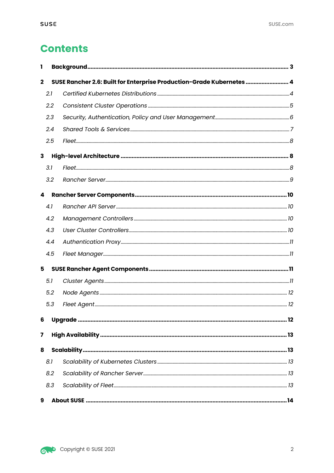# **Contents**

| ı           |     |                                                                       |  |
|-------------|-----|-----------------------------------------------------------------------|--|
| $\mathbf 2$ |     | SUSE Rancher 2.6: Built for Enterprise Production-Grade Kubernetes  4 |  |
|             | 2.1 |                                                                       |  |
|             | 2.2 |                                                                       |  |
|             | 2.3 |                                                                       |  |
|             | 2.4 |                                                                       |  |
|             | 2.5 |                                                                       |  |
| 3           |     |                                                                       |  |
|             | 3.1 |                                                                       |  |
|             | 3.2 |                                                                       |  |
| 4           |     |                                                                       |  |
|             | 4.1 |                                                                       |  |
|             | 4.2 |                                                                       |  |
|             | 4.3 |                                                                       |  |
|             | 4.4 |                                                                       |  |
|             | 4.5 |                                                                       |  |
| 5           |     |                                                                       |  |
|             | 5.1 |                                                                       |  |
|             | 5.2 |                                                                       |  |
|             | 5.3 |                                                                       |  |
| 6           |     |                                                                       |  |
| 7           |     |                                                                       |  |
| 8           |     |                                                                       |  |
|             | 8.1 |                                                                       |  |
|             | 8.2 |                                                                       |  |
|             | 8.3 |                                                                       |  |
| 9           |     |                                                                       |  |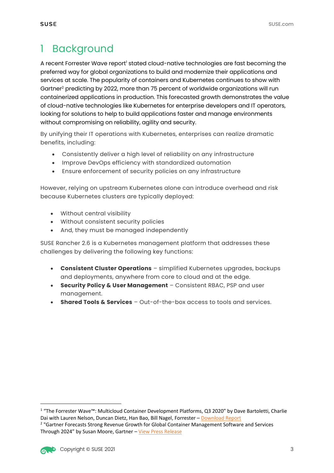# 1 Background

A recent Forrester Wave report<sup>1</sup> stated cloud-native technologies are fast becoming the preferred way for global organizations to build and modernize their applications and services at scale. The popularity of containers and Kubernetes continues to show with Gartner2 predicting by 2022, more than 75 percent of worldwide organizations will run containerized applications in production. This forecasted growth demonstrates the value of cloud-native technologies like Kubernetes for enterprise developers and IT operators, looking for solutions to help to build applications faster and manage environments without compromising on reliability, agility and security.

By unifying their IT operations with Kubernetes, enterprises can realize dramatic benefits, including:

- Consistently deliver a high level of reliability on any infrastructure
- Improve DevOps efficiency with standardized automation
- Ensure enforcement of security policies on any infrastructure

However, relying on upstream Kubernetes alone can introduce overhead and risk because Kubernetes clusters are typically deployed:

- Without central visibility
- Without consistent security policies
- And, they must be managed independently

SUSE Rancher 2.6 is a Kubernetes management platform that addresses these challenges by delivering the following key functions:

- **Consistent Cluster Operations** simplified Kubernetes upgrades, backups and deployments, anywhere from core to cloud and at the edge.
- **Security Policy & User Management** Consistent RBAC, PSP and user management.
- **Shared Tools & Services** Out-of-the-box access to tools and services.

<sup>1</sup> "The Forrester Wave™: Multicloud Container Development Platforms, Q3 2020" by Dave Bartoletti, Charlie Dai with Lauren Nelson, Duncan Dietz, Han Bao, Bill Nagel, Forrester – Download Report <sup>2</sup> "Gartner Forecasts Strong Revenue Growth for Global Container Management Software and Services

Through 2024" by Susan Moore, Gartner – View Press Release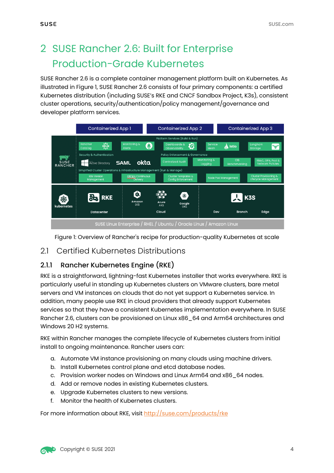# 2 SUSE Rancher 2.6: Built for Enterprise Production-Grade Kubernetes

SUSE Rancher 2.6 is a complete container management platform built on Kubernetes. As illustrated in Figure 1, SUSE Rancher 2.6 consists of four primary components: a certified Kubernetes distribution (including SUSE's RKE and CNCF Sandbox Project, K3s), consistent cluster operations, security/authentication/policy management/governance and developer platform services.



Figure 1: Overview of Rancher's recipe for production-quality Kubernetes at scale

## 21 Certified Kubernetes Distributions

#### 2.1.1 Rancher Kubernetes Engine (RKE)

RKE is a straightforward, lightning-fast Kubernetes installer that works everywhere. RKE is particularly useful in standing up Kubernetes clusters on VMware clusters, bare metal servers and VM instances on clouds that do not yet support a Kubernetes service. In addition, many people use RKE in cloud providers that already support Kubernetes services so that they have a consistent Kubernetes implementation everywhere. In SUSE Rancher 2.6, clusters can be provisioned on Linux x86\_64 and Arm64 architectures and Windows 20 H2 systems.

RKE within Rancher manages the complete lifecycle of Kubernetes clusters from initial install to ongoing maintenance. Rancher users can:

- a. Automate VM instance provisioning on many clouds using machine drivers.
- b. Install Kubernetes control plane and etcd database nodes.
- c. Provision worker nodes on Windows and Linux Arm64 and x86\_64 nodes.
- d. Add or remove nodes in existing Kubernetes clusters.
- e. Upgrade Kubernetes clusters to new versions.
- f. Monitor the health of Kubernetes clusters.

For more information about RKE, visit http://suse.com/products/rke

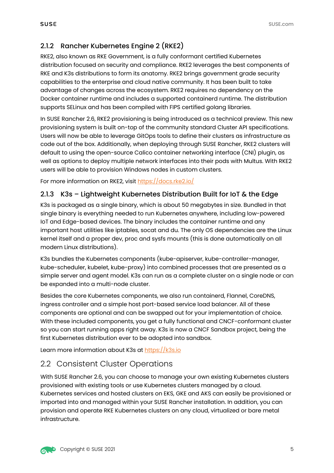# 2.1.2 Rancher Kubernetes Engine 2 (RKE2)

RKE2, also known as RKE Government, is a fully conformant certified Kubernetes distribution focused on security and compliance. RKE2 leverages the best components of RKE and K3s distributions to form its anatomy. RKE2 brings government grade security capabilities to the enterprise and cloud native community. It has been built to take advantage of changes across the ecosystem. RKE2 requires no dependency on the Docker container runtime and includes a supported containerd runtime. The distribution supports SELinux and has been compiled with FIPS certified golang libraries.

In SUSE Rancher 2.6, RKE2 provisioning is being introduced as a technical preview. This new provisioning system is built on-top of the community standard Cluster API specifications. Users will now be able to leverage GitOps tools to define their clusters as infrastructure as code out of the box. Additionally, when deploying through SUSE Rancher, RKE2 clusters will default to using the open-source Calico container networking interface (CNI) plugin, as well as options to deploy multiple network interfaces into their pods with Multus. With RKE2 users will be able to provision Windows nodes in custom clusters.

For more information on RKE2, visit https://docs.rke2.io/

#### 2.1.3 K3s – Lightweight Kubernetes Distribution Built for IoT & the Edge

K3s is packaged as a single binary, which is about 50 megabytes in size. Bundled in that single binary is everything needed to run Kubernetes anywhere, including low-powered IoT and Edge-based devices. The binary includes the container runtime and any important host utilities like iptables, socat and du. The only OS dependencies are the Linux kernel itself and a proper dev, proc and sysfs mounts (this is done automatically on all modern Linux distributions).

K3s bundles the Kubernetes components (kube-apiserver, kube-controller-manager, kube-scheduler, kubelet, kube-proxy) into combined processes that are presented as a simple server and agent model. K3s can run as a complete cluster on a single node or can be expanded into a multi-node cluster.

Besides the core Kubernetes components, we also run containerd, Flannel, CoreDNS, ingress controller and a simple host port-based service load balancer. All of these components are optional and can be swapped out for your implementation of choice. With these included components, you get a fully functional and CNCF-conformant cluster so you can start running apps right away. K3s is now a CNCF Sandbox project, being the first Kubernetes distribution ever to be adopted into sandbox.

Learn more information about K3s at https://k3s.io

## 2.2 Consistent Cluster Operations

With SUSE Rancher 2.6, you can choose to manage your own existing Kubernetes clusters provisioned with existing tools or use Kubernetes clusters managed by a cloud. Kubernetes services and hosted clusters on EKS, GKE and AKS can easily be provisioned or imported into and managed within your SUSE Rancher installation. In addition, you can provision and operate RKE Kubernetes clusters on any cloud, virtualized or bare metal infrastructure.

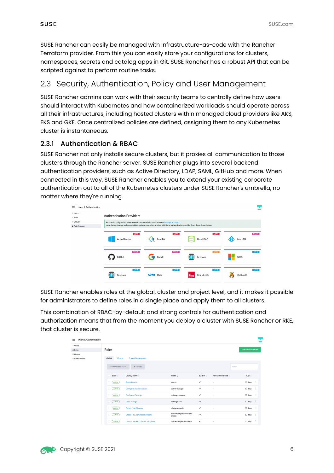SUSE Rancher can easily be managed with Infrastructure-as-code with the Rancher Terraform provider. From this you can easily store your configurations for clusters, namespaces, secrets and catalog apps in Git. SUSE Rancher has a robust API that can be scripted against to perform routine tasks.

## 2.3 Security, Authentication, Policy and User Management

SUSE Rancher admins can work with their security teams to centrally define how users should interact with Kubernetes and how containerized workloads should operate across all their infrastructures, including hosted clusters within managed cloud providers like AKS, EKS and GKE. Once centralized policies are defined, assigning them to any Kubernetes cluster is instantaneous.

#### 2.3.1 Authentication & RBAC

SUSE Rancher not only installs secure clusters, but it proxies all communication to those clusters through the Rancher server. SUSE Rancher plugs into several backend authentication providers, such as Active Directory, LDAP, SAML, GitHub and more. When connected in this way, SUSE Rancher enables you to extend your existing corporate authentication out to all of the Kubernetes clusters under SUSE Rancher's umbrella, no matter where they're running.

| $\equiv$<br>Users & Authentication     |                                                                                                                               |           |               |                   |  |  |  |
|----------------------------------------|-------------------------------------------------------------------------------------------------------------------------------|-----------|---------------|-------------------|--|--|--|
| $\triangle$ Users<br>$\triangle$ Roles | <b>Authentication Providers</b>                                                                                               |           |               |                   |  |  |  |
| ● Groups                               | Rancher is configured to allow access to accounts in its local database. Manage Accounts                                      |           |               |                   |  |  |  |
| <b>&amp; Auth Provider</b>             | Local Authentication is always enabled, but you may select another additional authentication provider from those shown below. |           |               |                   |  |  |  |
|                                        | <b>LDAP</b>                                                                                                                   | LDAP      | LDAP          | OAuth             |  |  |  |
|                                        | ActiveDirectory                                                                                                               | FreeIPA   | OpenLDAP      | AzureAD           |  |  |  |
|                                        | OAuth                                                                                                                         | OAuth     | [OIDE]        | SAML              |  |  |  |
|                                        | GitHub                                                                                                                        | Google    | Keycloak      | <b>ADFS</b>       |  |  |  |
|                                        | SAML                                                                                                                          | SAML      | <b>SAML</b>   | SAML <sup>1</sup> |  |  |  |
|                                        | Keycloak                                                                                                                      | okta Okta | Ping Identity | Shibboleth        |  |  |  |

SUSE Rancher enables roles at the global, cluster and project level, and it makes it possible for administrators to define roles in a single place and apply them to all clusters.

This combination of RBAC-by-default and strong controls for authentication and authorization means that from the moment you deploy a cluster with SUSE Rancher or RKE, that cluster is secure.

| $\equiv$<br>Users & Authentication             |                                                   |                                     |              |                          | ٠.                        |
|------------------------------------------------|---------------------------------------------------|-------------------------------------|--------------|--------------------------|---------------------------|
| ⊥ Users<br>$\triangle$ Roles                   | Roles                                             |                                     |              |                          | <b>Create Global Role</b> |
| <sup>©</sup> Groups<br><b>ii</b> Auth Provider | Project/Namespaces<br>Global<br>Cluster           |                                     |              |                          |                           |
|                                                | 土 Download YAML<br>■ Delete                       |                                     |              |                          | Filter                    |
|                                                | Display Name 0<br>State 0                         | Name C                              | Built-In 0   | New User Default :       | Age $\circ$               |
|                                                | Administrator<br>Active                           | admin                               | $\checkmark$ | $\sim$                   | $17 \text{ days}$ :       |
|                                                | Active<br><b>Configure Authentication</b>         | authn-manage                        | $\checkmark$ | $\overline{\phantom{a}}$ | $17 \text{ days}$ :       |
|                                                | Active<br><b>Configure Catalogs</b>               | catalogs-manage                     | $\checkmark$ | $\sim$                   | 17 days :                 |
|                                                | Active<br><b>Use Catalogs</b>                     | catalogs-use                        | $\checkmark$ | $\overline{\phantom{a}}$ | $17 \text{ days}$ :       |
|                                                | Active<br><b>Create new Clusters</b>              | clusters-create                     | $\checkmark$ | $\sim$                   | $17 \text{ days}$ :       |
|                                                | Active<br><b>Create RKE Template Revisions</b>    | clustertemplaterevisions-<br>create | $\checkmark$ |                          | $17 \text{ days}$ :       |
|                                                | Active<br><b>Create new RKE Cluster Templates</b> | clustertemplates-create             | $\checkmark$ | $\sim$                   | $17 \text{ days}$ :       |

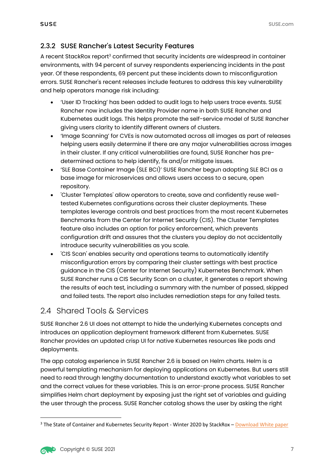#### 2.3.2 SUSE Rancher's Latest Security Features

A recent StackRox report3 confirmed that security incidents are widespread in container environments, with 94 percent of survey respondents experiencing incidents in the past year. Of these respondents, 69 percent put these incidents down to misconfiguration errors. SUSE Rancher's recent releases include features to address this key vulnerability and help operators manage risk including:

- 'User ID Tracking' has been added to audit logs to help users trace events. SUSE Rancher now includes the Identity Provider name in both SUSE Rancher and Kubernetes audit logs. This helps promote the self-service model of SUSE Rancher giving users clarity to identify different owners of clusters.
- 'Image Scanning' for CVEs is now automated across all images as part of releases helping users easily determine if there are any major vulnerabilities across images in their cluster. If any critical vulnerabilities are found, SUSE Rancher has predetermined actions to help identify, fix and/or mitigate issues.
- 'SLE Base Container Image (SLE BCI)' SUSE Rancher begun adopting SLE BCI as a base image for microservices and allows users access to a secure, open repository.
- 'Cluster Templates' allow operators to create, save and confidently reuse welltested Kubernetes configurations across their cluster deployments. These templates leverage controls and best practices from the most recent Kubernetes Benchmarks from the Center for Internet Security (CIS). The Cluster Templates feature also includes an option for policy enforcement, which prevents configuration drift and assures that the clusters you deploy do not accidentally introduce security vulnerabilities as you scale.
- 'CIS Scan' enables security and operations teams to automatically identify misconfiguration errors by comparing their cluster settings with best practice guidance in the CIS (Center for Internet Security) Kubernetes Benchmark. When SUSE Rancher runs a CIS Security Scan on a cluster, it generates a report showing the results of each test, including a summary with the number of passed, skipped and failed tests. The report also includes remediation steps for any failed tests.

## 2.4 Shared Tools & Services

SUSE Rancher 2.6 UI does not attempt to hide the underlying Kubernetes concepts and introduces an application deployment framework different from Kubernetes. SUSE Rancher provides an updated crisp UI for native Kubernetes resources like pods and deployments.

The app catalog experience in SUSE Rancher 2.6 is based on Helm charts. Helm is a powerful templating mechanism for deploying applications on Kubernetes. But users still need to read through lengthy documentation to understand exactly what variables to set and the correct values for these variables. This is an error-prone process. SUSE Rancher simplifies Helm chart deployment by exposing just the right set of variables and guiding the user through the process. SUSE Rancher catalog shows the user by asking the right

<sup>&</sup>lt;sup>3</sup> The State of Container and Kubernetes Security Report - Winter 2020 by StackRox – Download White paper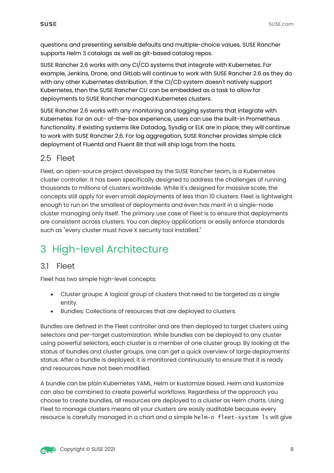questions and presenting sensible defaults and multiple-choice values. SUSE Rancher supports Helm 3 catalogs as well as git-based catalog repos.

SUSE Rancher 2.6 works with any CI/CD systems that integrate with Kubernetes. For example, Jenkins, Drone, and GitLab will continue to work with SUSE Rancher 2.6 as they do with any other Kubernetes distribution. If the CI/CD system doesn't natively support Kubernetes, then the SUSE Rancher CLI can be embedded as a task to allow for deployments to SUSE Rancher managed Kubernetes clusters.

SUSE Rancher 2.6 works with any monitoring and logging systems that integrate with Kubernetes. For an out- of-the-box experience, users can use the built-in Prometheus functionality. If existing systems like Datadog, Sysdig or ELK are in place, they will continue to work with SUSE Rancher 2.6. For log aggregation, SUSE Rancher provides simple click deployment of Fluentd and Fluent Bit that will ship logs from the hosts.

## 2.5 Fleet

Fleet, an open-source project developed by the SUSE Rancher team, is a Kubernetes cluster controller. It has been specifically designed to address the challenges of running thousands to millions of clusters worldwide. While it's designed for massive scale, the concepts still apply for even small deployments of less than 10 clusters. Fleet is lightweight enough to run on the smallest of deployments and even has merit in a single-node cluster managing only itself. The primary use case of Fleet is to ensure that deployments are consistent across clusters. You can deploy applications or easily enforce standards such as "every cluster must have X security tool installed."

# 3 High-level Architecture

## 3.1 Fleet

Fleet has two simple high-level concepts:

- Cluster groups: A logical group of clusters that need to be targeted as a single entity.
- Bundles: Collections of resources that are deployed to clusters.

Bundles are defined in the Fleet controller and are then deployed to target clusters using selectors and per-target customization. While bundles can be deployed to any cluster using powerful selectors, each cluster is a member of one cluster group. By looking at the status of bundles and cluster groups, one can get a quick overview of large deployments' status. After a bundle is deployed, it is monitored continuously to ensure that it is ready and resources have not been modified.

A bundle can be plain Kubernetes YAML, Helm or kustomize based. Helm and kustomize can also be combined to create powerful workflows. Regardless of the approach you choose to create bundles, all resources are deployed to a cluster as Helm charts. Using Fleet to manage clusters means all your clusters are easily auditable because every resource is carefully managed in a chart and a simple helm-n fleet-system ls will give

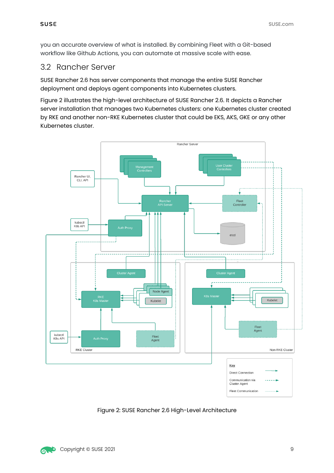you an accurate overview of what is installed. By combining Fleet with a Git-based workflow like Github Actions, you can automate at massive scale with ease.

#### 3.2 Rancher Server

SUSE Rancher 2.6 has server components that manage the entire SUSE Rancher deployment and deploys agent components into Kubernetes clusters.

Figure 2 illustrates the high-level architecture of SUSE Rancher 2.6. It depicts a Rancher server installation that manages two Kubernetes clusters: one Kubernetes cluster created by RKE and another non-RKE Kubernetes cluster that could be EKS, AKS, GKE or any other Kubernetes cluster.



Figure 2: SUSE Rancher 2.6 High-Level Architecture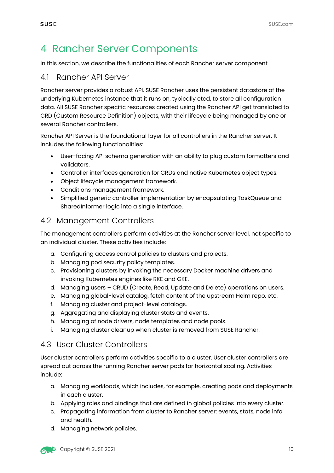# 4 Rancher Server Components

In this section, we describe the functionalities of each Rancher server component.

#### 4.1 Rancher API Server

Rancher server provides a robust API. SUSE Rancher uses the persistent datastore of the underlying Kubernetes instance that it runs on, typically etcd, to store all configuration data. All SUSE Rancher specific resources created using the Rancher API get translated to CRD (Custom Resource Definition) objects, with their lifecycle being managed by one or several Rancher controllers.

Rancher API Server is the foundational layer for all controllers in the Rancher server. It includes the following functionalities:

- User-facing API schema generation with an ability to plug custom formatters and validators.
- Controller interfaces generation for CRDs and native Kubernetes object types.
- Object lifecycle management framework.
- Conditions management framework.
- Simplified generic controller implementation by encapsulating TaskQueue and SharedInformer logic into a single interface.

#### 4.2 Management Controllers

The management controllers perform activities at the Rancher server level, not specific to an individual cluster. These activities include:

- a. Configuring access control policies to clusters and projects.
- b. Managing pod security policy templates.
- c. Provisioning clusters by invoking the necessary Docker machine drivers and invoking Kubernetes engines like RKE and GKE.
- d. Managing users CRUD (Create, Read, Update and Delete) operations on users.
- e. Managing global-level catalog, fetch content of the upstream Helm repo, etc.
- f. Managing cluster and project-level catalogs.
- g. Aggregating and displaying cluster stats and events.
- h. Managing of node drivers, node templates and node pools.
- i. Managing cluster cleanup when cluster is removed from SUSE Rancher.

#### 4.3 User Cluster Controllers

User cluster controllers perform activities specific to a cluster. User cluster controllers are spread out across the running Rancher server pods for horizontal scaling. Activities include:

- a. Managing workloads, which includes, for example, creating pods and deployments in each cluster.
- b. Applying roles and bindings that are defined in global policies into every cluster.
- c. Propagating information from cluster to Rancher server: events, stats, node info and health.
- d. Managing network policies.

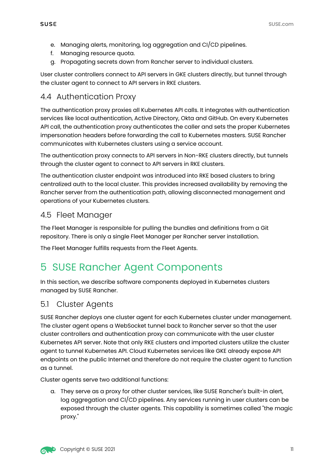- e. Managing alerts, monitoring, log aggregation and CI/CD pipelines.
- f. Managing resource quota.
- g. Propagating secrets down from Rancher server to individual clusters.

User cluster controllers connect to API servers in GKE clusters directly, but tunnel through the cluster agent to connect to API servers in RKE clusters.

## 4.4 Authentication Proxy

The authentication proxy proxies all Kubernetes API calls. It integrates with authentication services like local authentication, Active Directory, Okta and GitHub. On every Kubernetes API call, the authentication proxy authenticates the caller and sets the proper Kubernetes impersonation headers before forwarding the call to Kubernetes masters. SUSE Rancher communicates with Kubernetes clusters using a service account.

The authentication proxy connects to API servers in Non-RKE clusters directly, but tunnels through the cluster agent to connect to API servers in RKE clusters.

The authentication cluster endpoint was introduced into RKE based clusters to bring centralized auth to the local cluster. This provides increased availability by removing the Rancher server from the authentication path, allowing disconnected management and operations of your Kubernetes clusters.

## 4.5 Fleet Manager

The Fleet Manager is responsible for pulling the bundles and definitions from a Git repository. There is only a single Fleet Manager per Rancher server installation.

The Fleet Manager fulfills requests from the Fleet Agents.

# 5 SUSE Rancher Agent Components

In this section, we describe software components deployed in Kubernetes clusters managed by SUSE Rancher.

## 5.1 Cluster Agents

SUSE Rancher deploys one cluster agent for each Kubernetes cluster under management. The cluster agent opens a WebSocket tunnel back to Rancher server so that the user cluster controllers and authentication proxy can communicate with the user cluster Kubernetes API server. Note that only RKE clusters and imported clusters utilize the cluster agent to tunnel Kubernetes API. Cloud Kubernetes services like GKE already expose API endpoints on the public Internet and therefore do not require the cluster agent to function as a tunnel.

Cluster agents serve two additional functions:

a. They serve as a proxy for other cluster services, like SUSE Rancher's built-in alert, log aggregation and CI/CD pipelines. Any services running in user clusters can be exposed through the cluster agents. This capability is sometimes called "the magic proxy."

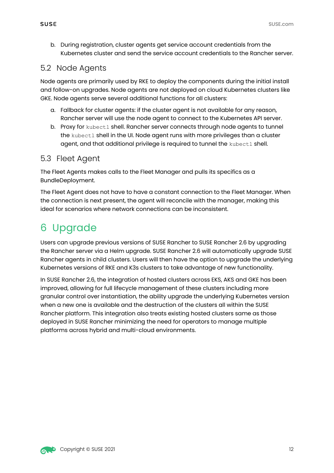b. During registration, cluster agents get service account credentials from the Kubernetes cluster and send the service account credentials to the Rancher server.

# 5.2 Node Agents

Node agents are primarily used by RKE to deploy the components during the initial install and follow-on upgrades. Node agents are not deployed on cloud Kubernetes clusters like GKE. Node agents serve several additional functions for all clusters:

- a. Fallback for cluster agents: if the cluster agent is not available for any reason, Rancher server will use the node agent to connect to the Kubernetes API server.
- b. Proxy for kubectl shell. Rancher server connects through node agents to tunnel the kubectl shell in the UI. Node agent runs with more privileges than a cluster agent, and that additional privilege is required to tunnel the kubectl shell.

## 5.3 Fleet Agent

The Fleet Agents makes calls to the Fleet Manager and pulls its specifics as a BundleDeployment.

The Fleet Agent does not have to have a constant connection to the Fleet Manager. When the connection is next present, the agent will reconcile with the manager, making this ideal for scenarios where network connections can be inconsistent.

# 6 Upgrade

Users can upgrade previous versions of SUSE Rancher to SUSE Rancher 2.6 by upgrading the Rancher server via a Helm upgrade. SUSE Rancher 2.6 will automatically upgrade SUSE Rancher agents in child clusters. Users will then have the option to upgrade the underlying Kubernetes versions of RKE and K3s clusters to take advantage of new functionality.

In SUSE Rancher 2.6, the integration of hosted clusters across EKS, AKS and GKE has been improved, allowing for full lifecycle management of these clusters including more granular control over instantiation, the ability upgrade the underlying Kubernetes version when a new one is available and the destruction of the clusters all within the SUSE Rancher platform. This integration also treats existing hosted clusters same as those deployed in SUSE Rancher minimizing the need for operators to manage multiple platforms across hybrid and multi-cloud environments.

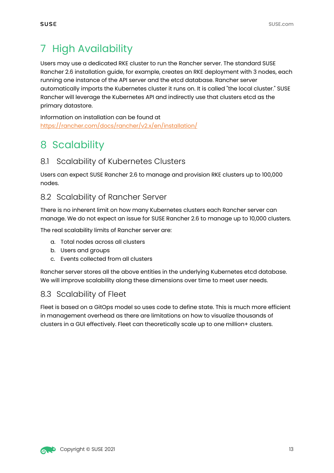# 7 High Availability

Users may use a dedicated RKE cluster to run the Rancher server. The standard SUSE Rancher 2.6 installation guide, for example, creates an RKE deployment with 3 nodes, each running one instance of the API server and the etcd database. Rancher server automatically imports the Kubernetes cluster it runs on. It is called "the local cluster." SUSE Rancher will leverage the Kubernetes API and indirectly use that clusters etcd as the primary datastore.

Information on installation can be found at https://rancher.com/docs/rancher/v2.x/en/installation/

# 8 Scalability

# 8.1 Scalability of Kubernetes Clusters

Users can expect SUSE Rancher 2.6 to manage and provision RKE clusters up to 100,000 nodes.

## 8.2 Scalability of Rancher Server

There is no inherent limit on how many Kubernetes clusters each Rancher server can manage. We do not expect an issue for SUSE Rancher 2.6 to manage up to 10,000 clusters.

The real scalability limits of Rancher server are:

- a. Total nodes across all clusters
- b. Users and groups
- c. Events collected from all clusters

Rancher server stores all the above entities in the underlying Kubernetes etcd database. We will improve scalability along these dimensions over time to meet user needs.

#### 8.3 Scalability of Fleet

Fleet is based on a GitOps model so uses code to define state. This is much more efficient in management overhead as there are limitations on how to visualize thousands of clusters in a GUI effectively. Fleet can theoretically scale up to one million+ clusters.